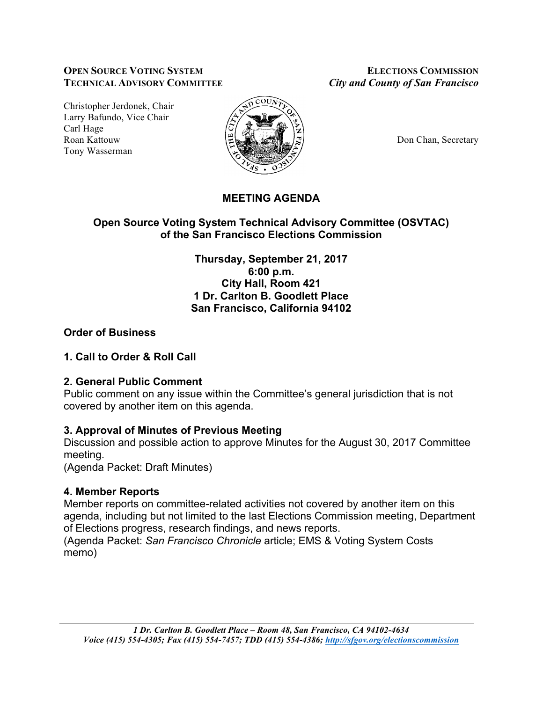#### **OPEN SOURCE VOTING SYSTEM ELECTIONS COMMISSION TECHNICAL ADVISORY COMMITTEE** *City and County of San Francisco*

Christopher Jerdonek, Chair Larry Bafundo, Vice Chair Carl Hage Roan Kattouw  $\Big|\frac{\mu}{\mu}\Big|_{\infty}$   $\Big|\frac{\mu}{\mu}\Big|_{\infty}$   $\Big|\frac{\mu}{\mu}\Big|_{\infty}$  Don Chan, Secretary Tony Wasserman



# **MEETING AGENDA**

## **Open Source Voting System Technical Advisory Committee (OSVTAC) of the San Francisco Elections Commission**

**Thursday, September 21, 2017 6:00 p.m. City Hall, Room 421 1 Dr. Carlton B. Goodlett Place San Francisco, California 94102**

## **Order of Business**

#### **1. Call to Order & Roll Call**

#### **2. General Public Comment**

Public comment on any issue within the Committee's general jurisdiction that is not covered by another item on this agenda.

## **3. Approval of Minutes of Previous Meeting**

Discussion and possible action to approve Minutes for the August 30, 2017 Committee meeting.

(Agenda Packet: Draft Minutes)

## **4. Member Reports**

Member reports on committee-related activities not covered by another item on this agenda, including but not limited to the last Elections Commission meeting, Department of Elections progress, research findings, and news reports.

(Agenda Packet: *San Francisco Chronicle* article; EMS & Voting System Costs memo)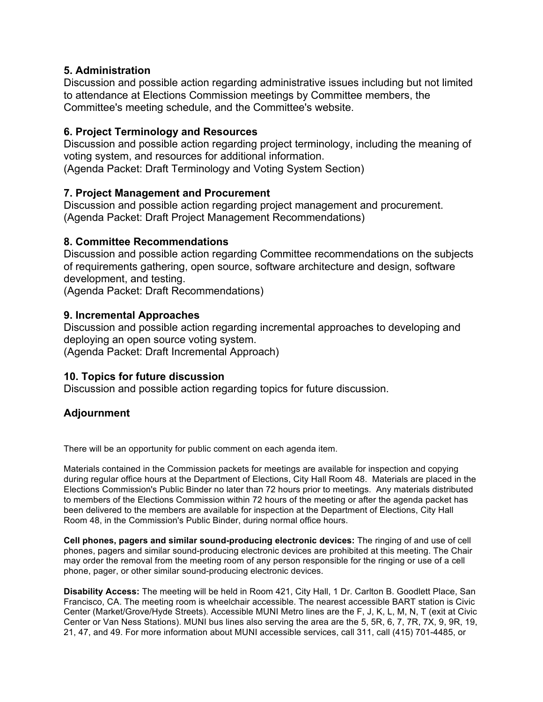#### **5. Administration**

Discussion and possible action regarding administrative issues including but not limited to attendance at Elections Commission meetings by Committee members, the Committee's meeting schedule, and the Committee's website.

### **6. Project Terminology and Resources**

Discussion and possible action regarding project terminology, including the meaning of voting system, and resources for additional information. (Agenda Packet: Draft Terminology and Voting System Section)

### **7. Project Management and Procurement**

Discussion and possible action regarding project management and procurement. (Agenda Packet: Draft Project Management Recommendations)

#### **8. Committee Recommendations**

Discussion and possible action regarding Committee recommendations on the subjects of requirements gathering, open source, software architecture and design, software development, and testing.

(Agenda Packet: Draft Recommendations)

#### **9. Incremental Approaches**

Discussion and possible action regarding incremental approaches to developing and deploying an open source voting system. (Agenda Packet: Draft Incremental Approach)

## **10. Topics for future discussion**

Discussion and possible action regarding topics for future discussion.

## **Adjournment**

There will be an opportunity for public comment on each agenda item.

Materials contained in the Commission packets for meetings are available for inspection and copying during regular office hours at the Department of Elections, City Hall Room 48. Materials are placed in the Elections Commission's Public Binder no later than 72 hours prior to meetings. Any materials distributed to members of the Elections Commission within 72 hours of the meeting or after the agenda packet has been delivered to the members are available for inspection at the Department of Elections, City Hall Room 48, in the Commission's Public Binder, during normal office hours.

**Cell phones, pagers and similar sound-producing electronic devices:** The ringing of and use of cell phones, pagers and similar sound-producing electronic devices are prohibited at this meeting. The Chair may order the removal from the meeting room of any person responsible for the ringing or use of a cell phone, pager, or other similar sound-producing electronic devices.

**Disability Access:** The meeting will be held in Room 421, City Hall, 1 Dr. Carlton B. Goodlett Place, San Francisco, CA. The meeting room is wheelchair accessible. The nearest accessible BART station is Civic Center (Market/Grove/Hyde Streets). Accessible MUNI Metro lines are the F, J, K, L, M, N, T (exit at Civic Center or Van Ness Stations). MUNI bus lines also serving the area are the 5, 5R, 6, 7, 7R, 7X, 9, 9R, 19, 21, 47, and 49. For more information about MUNI accessible services, call 311, call (415) 701-4485, or